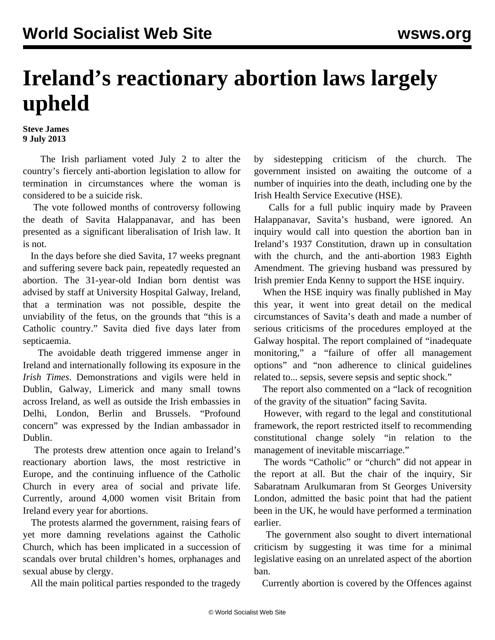## **Ireland's reactionary abortion laws largely upheld**

**Steve James 9 July 2013**

 The Irish parliament voted July 2 to alter the country's fiercely anti-abortion legislation to allow for termination in circumstances where the woman is considered to be a suicide risk.

 The vote followed months of controversy following the death of Savita Halappanavar, and has been presented as a significant liberalisation of Irish law. It is not.

 In the days before she died Savita, 17 weeks pregnant and suffering severe back pain, repeatedly requested an abortion. The 31-year-old Indian born dentist was advised by staff at University Hospital Galway, Ireland, that a termination was not possible, despite the unviability of the fetus, on the grounds that "this is a Catholic country." Savita died five days later from septicaemia.

 The avoidable death triggered immense anger in Ireland and internationally following its exposure in the *Irish Times*. Demonstrations and vigils were held in Dublin, Galway, Limerick and many small towns across Ireland, as well as outside the Irish embassies in Delhi, London, Berlin and Brussels. "Profound concern" was expressed by the Indian ambassador in Dublin.

 The protests drew attention once again to Ireland's reactionary abortion laws, the most restrictive in Europe, and the continuing influence of the Catholic Church in every area of social and private life. Currently, around 4,000 women visit Britain from Ireland every year for abortions.

 The protests alarmed the government, raising fears of yet more damning revelations against the Catholic Church, which has been implicated in a succession of scandals over brutal children's homes, orphanages and sexual abuse by clergy.

All the main political parties responded to the tragedy

by sidestepping criticism of the church. The government insisted on awaiting the outcome of a number of inquiries into the death, including one by the Irish Health Service Executive (HSE).

 Calls for a full public inquiry made by Praveen Halappanavar, Savita's husband, were ignored. An inquiry would call into question the abortion ban in Ireland's 1937 Constitution, drawn up in consultation with the church, and the anti-abortion 1983 Eighth Amendment. The grieving husband was pressured by Irish premier Enda Kenny to support the HSE inquiry.

 When the HSE inquiry was finally published in May this year, it went into great detail on the medical circumstances of Savita's death and made a number of serious criticisms of the procedures employed at the Galway hospital. The report complained of "inadequate monitoring," a "failure of offer all management options" and "non adherence to clinical guidelines related to... sepsis, severe sepsis and septic shock."

 The report also commented on a "lack of recognition of the gravity of the situation" facing Savita.

 However, with regard to the legal and constitutional framework, the report restricted itself to recommending constitutional change solely "in relation to the management of inevitable miscarriage."

 The words "Catholic" or "church" did not appear in the report at all. But the chair of the inquiry, Sir Sabaratnam Arulkumaran from St Georges University London, admitted the basic point that had the patient been in the UK, he would have performed a termination earlier.

 The government also sought to divert international criticism by suggesting it was time for a minimal legislative easing on an unrelated aspect of the abortion ban.

Currently abortion is covered by the Offences against